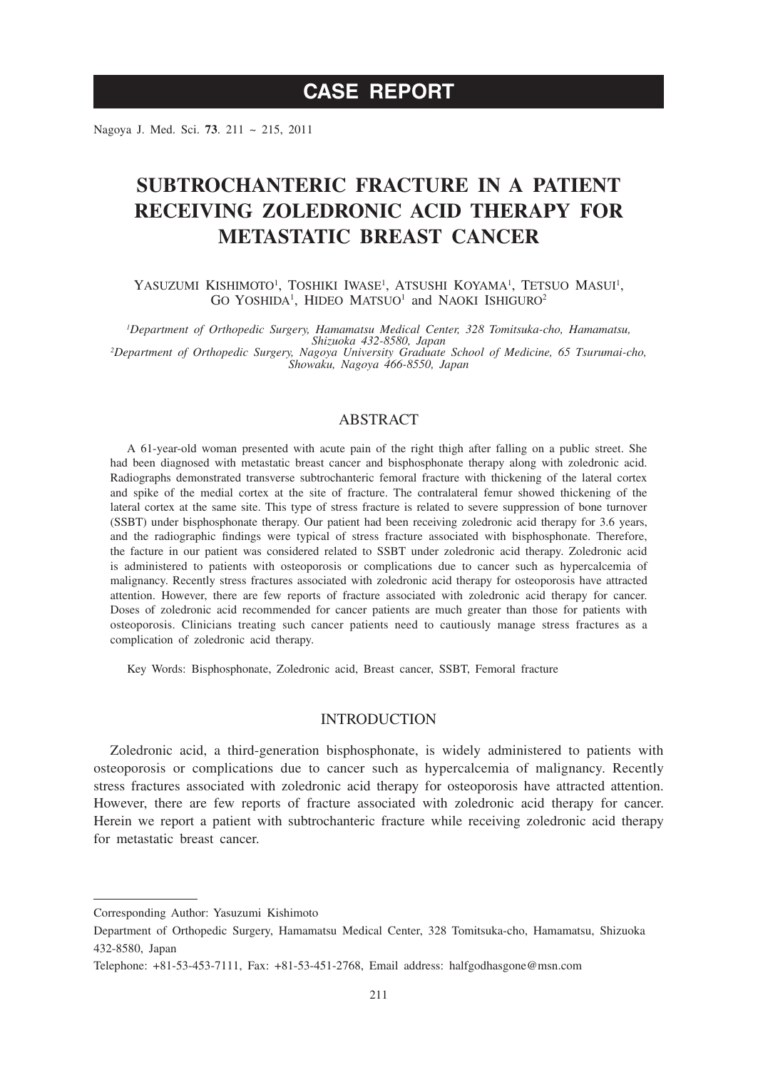# **CASE REPORT**

Nagoya J. Med. Sci. **73**. 211 ~ 215, 2011

# **SUBTROCHANTERIC FRACTURE IN A PATIENT RECEIVING ZOLEDRONIC ACID THERAPY FOR METASTATIC BREAST CANCER**

YASUZUMI KISHIMOTO<sup>1</sup>, TOSHIKI IWASE<sup>1</sup>, ATSUSHI KOYAMA<sup>1</sup>, TETSUO MASUI<sup>1</sup>, GO YOSHIDA<sup>1</sup>, HIDEO MATSUO<sup>1</sup> and NAOKI ISHIGURO<sup>2</sup>

*1 Department of Orthopedic Surgery, Hamamatsu Medical Center, 328 Tomitsuka-cho, Hamamatsu, Shizuoka 432-8580, Japan <sup>2</sup> Department of Orthopedic Surgery, Nagoya University Graduate School of Medicine, 65 Tsurumai-cho, Showaku, Nagoya 466-8550, Japan*

## ABSTRACT

A 61-year-old woman presented with acute pain of the right thigh after falling on a public street. She had been diagnosed with metastatic breast cancer and bisphosphonate therapy along with zoledronic acid. Radiographs demonstrated transverse subtrochanteric femoral fracture with thickening of the lateral cortex and spike of the medial cortex at the site of fracture. The contralateral femur showed thickening of the lateral cortex at the same site. This type of stress fracture is related to severe suppression of bone turnover (SSBT) under bisphosphonate therapy. Our patient had been receiving zoledronic acid therapy for 3.6 years, and the radiographic findings were typical of stress fracture associated with bisphosphonate. Therefore, the facture in our patient was considered related to SSBT under zoledronic acid therapy. Zoledronic acid is administered to patients with osteoporosis or complications due to cancer such as hypercalcemia of malignancy. Recently stress fractures associated with zoledronic acid therapy for osteoporosis have attracted attention. However, there are few reports of fracture associated with zoledronic acid therapy for cancer. Doses of zoledronic acid recommended for cancer patients are much greater than those for patients with osteoporosis. Clinicians treating such cancer patients need to cautiously manage stress fractures as a complication of zoledronic acid therapy.

Key Words: Bisphosphonate, Zoledronic acid, Breast cancer, SSBT, Femoral fracture

## INTRODUCTION

Zoledronic acid, a third-generation bisphosphonate, is widely administered to patients with osteoporosis or complications due to cancer such as hypercalcemia of malignancy. Recently stress fractures associated with zoledronic acid therapy for osteoporosis have attracted attention. However, there are few reports of fracture associated with zoledronic acid therapy for cancer. Herein we report a patient with subtrochanteric fracture while receiving zoledronic acid therapy for metastatic breast cancer.

Corresponding Author: Yasuzumi Kishimoto

Department of Orthopedic Surgery, Hamamatsu Medical Center, 328 Tomitsuka-cho, Hamamatsu, Shizuoka 432-8580, Japan

Telephone: +81-53-453-7111, Fax: +81-53-451-2768, Email address: halfgodhasgone@msn.com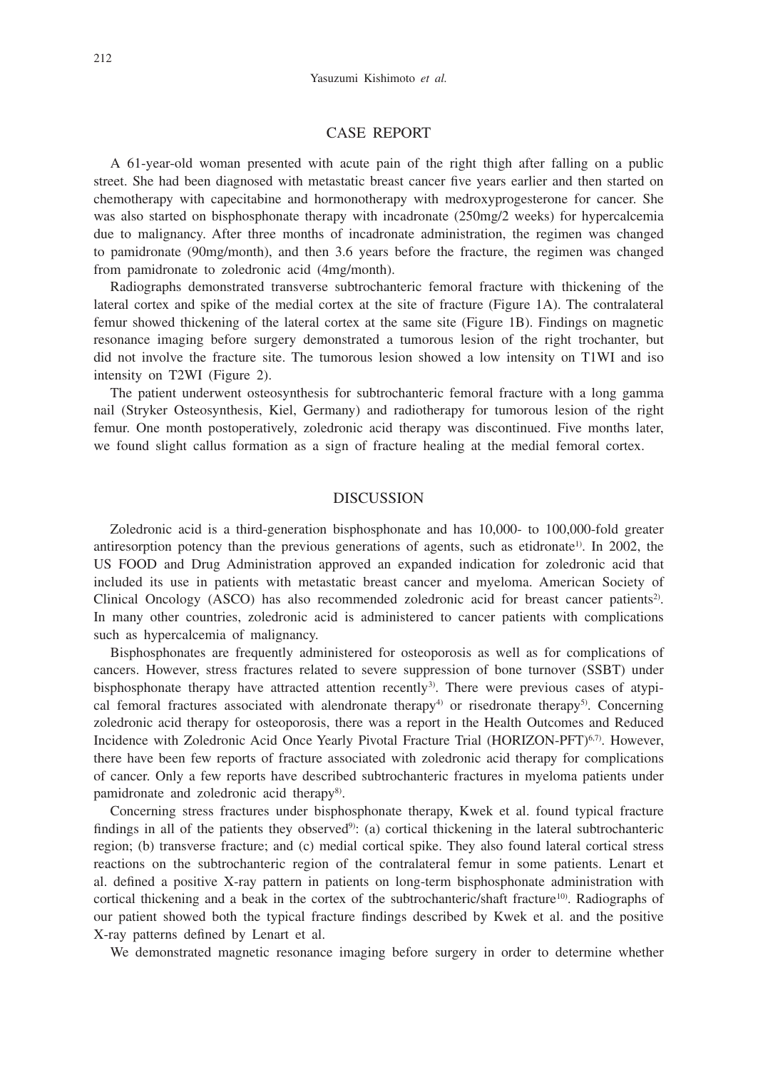## CASE REPORT

A 61-year-old woman presented with acute pain of the right thigh after falling on a public street. She had been diagnosed with metastatic breast cancer five years earlier and then started on chemotherapy with capecitabine and hormonotherapy with medroxyprogesterone for cancer. She was also started on bisphosphonate therapy with incadronate (250mg/2 weeks) for hypercalcemia due to malignancy. After three months of incadronate administration, the regimen was changed to pamidronate (90mg/month), and then 3.6 years before the fracture, the regimen was changed from pamidronate to zoledronic acid (4mg/month).

Radiographs demonstrated transverse subtrochanteric femoral fracture with thickening of the lateral cortex and spike of the medial cortex at the site of fracture (Figure 1A). The contralateral femur showed thickening of the lateral cortex at the same site (Figure 1B). Findings on magnetic resonance imaging before surgery demonstrated a tumorous lesion of the right trochanter, but did not involve the fracture site. The tumorous lesion showed a low intensity on T1WI and iso intensity on T2WI (Figure 2).

The patient underwent osteosynthesis for subtrochanteric femoral fracture with a long gamma nail (Stryker Osteosynthesis, Kiel, Germany) and radiotherapy for tumorous lesion of the right femur. One month postoperatively, zoledronic acid therapy was discontinued. Five months later, we found slight callus formation as a sign of fracture healing at the medial femoral cortex.

### DISCUSSION

Zoledronic acid is a third-generation bisphosphonate and has 10,000- to 100,000-fold greater antiresorption potency than the previous generations of agents, such as etidronate<sup>1)</sup>. In 2002, the US FOOD and Drug Administration approved an expanded indication for zoledronic acid that included its use in patients with metastatic breast cancer and myeloma. American Society of Clinical Oncology (ASCO) has also recommended zoledronic acid for breast cancer patients<sup>2)</sup>. In many other countries, zoledronic acid is administered to cancer patients with complications such as hypercalcemia of malignancy.

Bisphosphonates are frequently administered for osteoporosis as well as for complications of cancers. However, stress fractures related to severe suppression of bone turnover (SSBT) under bisphosphonate therapy have attracted attention recently<sup>3</sup>. There were previous cases of atypical femoral fractures associated with alendronate therapy $4$  or risedronate therapy $5$ . Concerning zoledronic acid therapy for osteoporosis, there was a report in the Health Outcomes and Reduced Incidence with Zoledronic Acid Once Yearly Pivotal Fracture Trial (HORIZON-PFT)<sup>6,7)</sup>. However, there have been few reports of fracture associated with zoledronic acid therapy for complications of cancer. Only a few reports have described subtrochanteric fractures in myeloma patients under pamidronate and zoledronic acid therapy<sup>8)</sup>.

Concerning stress fractures under bisphosphonate therapy, Kwek et al. found typical fracture findings in all of the patients they observed<sup>9)</sup>: (a) cortical thickening in the lateral subtrochanteric region; (b) transverse fracture; and (c) medial cortical spike. They also found lateral cortical stress reactions on the subtrochanteric region of the contralateral femur in some patients. Lenart et al. defined a positive X-ray pattern in patients on long-term bisphosphonate administration with cortical thickening and a beak in the cortex of the subtrochanteric/shaft fracture<sup>10)</sup>. Radiographs of our patient showed both the typical fracture findings described by Kwek et al. and the positive X-ray patterns defined by Lenart et al.

We demonstrated magnetic resonance imaging before surgery in order to determine whether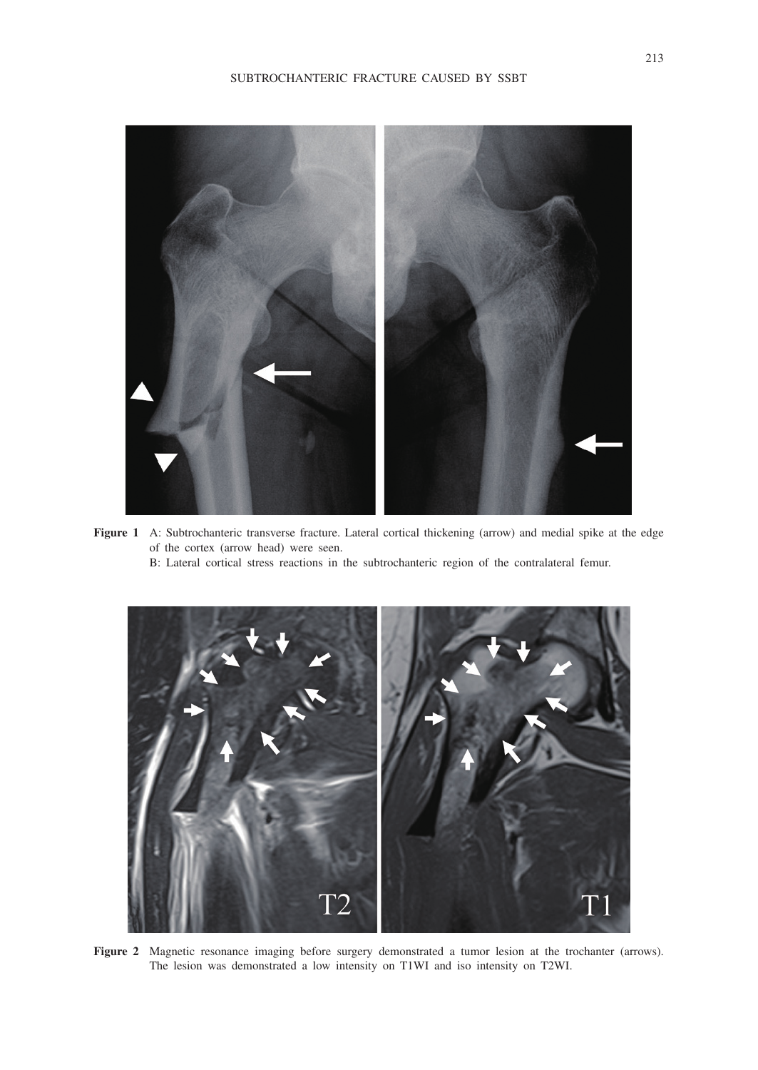

**Figure 1** A: Subtrochanteric transverse fracture. Lateral cortical thickening (arrow) and medial spike at the edge of the cortex (arrow head) were seen.

B: Lateral cortical stress reactions in the subtrochanteric region of the contralateral femur.



**Figure 2** Magnetic resonance imaging before surgery demonstrated a tumor lesion at the trochanter (arrows). The lesion was demonstrated a low intensity on T1WI and iso intensity on T2WI.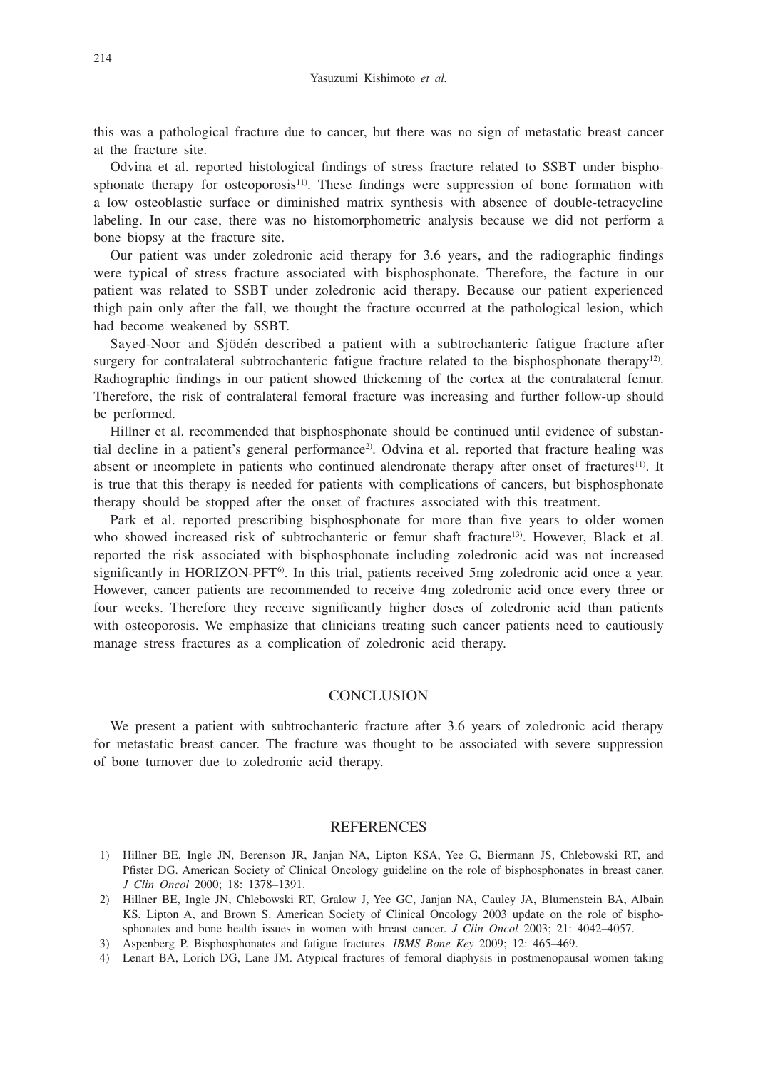this was a pathological fracture due to cancer, but there was no sign of metastatic breast cancer at the fracture site.

Odvina et al. reported histological findings of stress fracture related to SSBT under bisphosphonate therapy for osteoporosis<sup>11)</sup>. These findings were suppression of bone formation with a low osteoblastic surface or diminished matrix synthesis with absence of double-tetracycline labeling. In our case, there was no histomorphometric analysis because we did not perform a bone biopsy at the fracture site.

Our patient was under zoledronic acid therapy for 3.6 years, and the radiographic findings were typical of stress fracture associated with bisphosphonate. Therefore, the facture in our patient was related to SSBT under zoledronic acid therapy. Because our patient experienced thigh pain only after the fall, we thought the fracture occurred at the pathological lesion, which had become weakened by SSBT.

Sayed-Noor and Sjödén described a patient with a subtrochanteric fatigue fracture after surgery for contralateral subtrochanteric fatigue fracture related to the bisphosphonate therapy<sup>12)</sup>. Radiographic findings in our patient showed thickening of the cortex at the contralateral femur. Therefore, the risk of contralateral femoral fracture was increasing and further follow-up should be performed.

Hillner et al. recommended that bisphosphonate should be continued until evidence of substantial decline in a patient's general performance<sup>2</sup>. Odvina et al. reported that fracture healing was absent or incomplete in patients who continued alendronate therapy after onset of fractures<sup>11)</sup>. It is true that this therapy is needed for patients with complications of cancers, but bisphosphonate therapy should be stopped after the onset of fractures associated with this treatment.

Park et al. reported prescribing bisphosphonate for more than five years to older women who showed increased risk of subtrochanteric or femur shaft fracture<sup>13)</sup>. However, Black et al. reported the risk associated with bisphosphonate including zoledronic acid was not increased significantly in HORIZON-PFT<sup>6</sup>. In this trial, patients received 5mg zoledronic acid once a year. However, cancer patients are recommended to receive 4mg zoledronic acid once every three or four weeks. Therefore they receive significantly higher doses of zoledronic acid than patients with osteoporosis. We emphasize that clinicians treating such cancer patients need to cautiously manage stress fractures as a complication of zoledronic acid therapy.

### **CONCLUSION**

We present a patient with subtrochanteric fracture after 3.6 years of zoledronic acid therapy for metastatic breast cancer. The fracture was thought to be associated with severe suppression of bone turnover due to zoledronic acid therapy.

#### REFERENCES

- 1) Hillner BE, Ingle JN, Berenson JR, Janjan NA, Lipton KSA, Yee G, Biermann JS, Chlebowski RT, and Pfister DG. American Society of Clinical Oncology guideline on the role of bisphosphonates in breast caner. *J Clin Oncol* 2000; 18: 1378–1391.
- 2) Hillner BE, Ingle JN, Chlebowski RT, Gralow J, Yee GC, Janjan NA, Cauley JA, Blumenstein BA, Albain KS, Lipton A, and Brown S. American Society of Clinical Oncology 2003 update on the role of bisphosphonates and bone health issues in women with breast cancer. *J Clin Oncol* 2003; 21: 4042–4057.
- 3) Aspenberg P. Bisphosphonates and fatigue fractures. *IBMS Bone Key* 2009; 12: 465–469.
- 4) Lenart BA, Lorich DG, Lane JM. Atypical fractures of femoral diaphysis in postmenopausal women taking